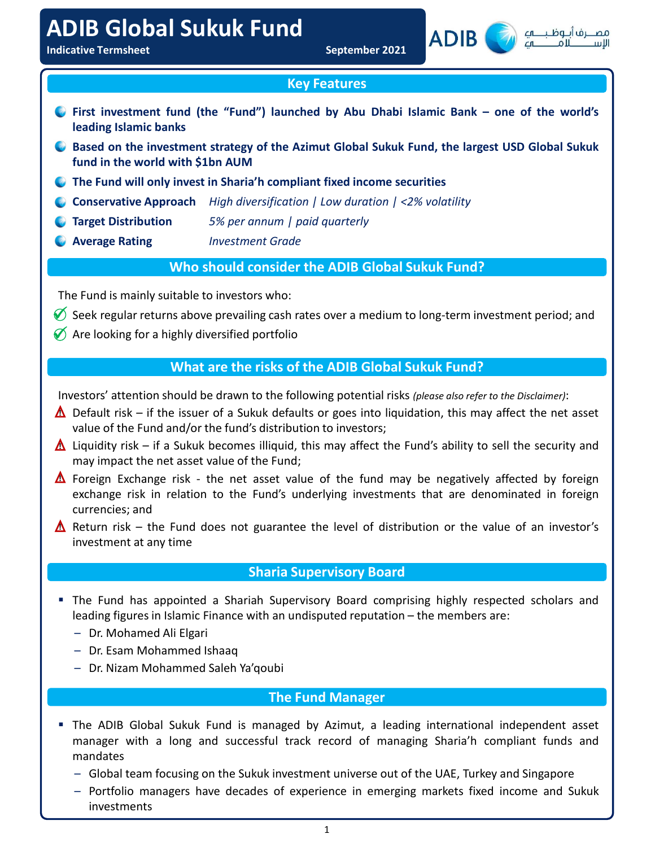# ADIB Global Sukuk Fund



# Key Features

- The Fund is mainly suitable to investors who:<br>  $\frac{S_{\text{opt}}}{\sqrt{2}}$  and  $\frac{S_{\text{opt}}}{\sqrt{2}}$  and  $\frac{S_{\text{opt}}}{\sqrt{2}}$  and  $\frac{S_{\text{opt}}}{\sqrt{2}}$  and  $\frac{S_{\text{opt}}}{\sqrt{2}}$  and  $\frac{S_{\text{opt}}}{\sqrt{2}}$  and  $\frac{S_{\text{opt}}}{\sqrt{2}}$  and  $\frac{S_{\text{opt}}}{\$ **Example 18 The looking for a highly diversified portfolio and the set all the set all the set all the set all the set all the set all the set all the set all the set all the bord of the Azimut Global Sukuk Fund, the larg** OR Global Sukuk Fund<br>Indicative Termsheet September 2021<br>Indicative Termsheet September 2021<br>Indicative Termsheet September 2021<br>Indicative Termsheet September 2021<br>Indicative Termsheet September 2021<br>Indicative Termsheet First investment fund (the "Fund") launched by Abu Dhabi Islamic Bank – one of the world's<br>
First investment fund (the "Fund") launched by Abu Dhabi Islamic Bank – one of the world's<br>
Leading Islamic banks<br>
C Based on the ORTEN ISLAMIC SURVIVE Termsheet<br>
Internative Termsheet<br>
Internative Termsheet<br>
Internative Marks Conservative Approach<br>
Internative Approach<br>
Internative Approach<br>
Internative Approach<br>
Internative Approach<br>
Internative A Fund september 2021<br>In the Termsheet<br>Intervention of the Wildman September 2021<br>Intervention of the Wildman September 2021<br>Intervention Islamic Bank – one of the world with Salmic banks<br>Based on the investment strategy of September 2021<br>
September 2021<br>
September 2021<br>
September 2021<br>
September 2021<br>
September 2021<br>
September 2021<br>
September 2021<br>
September 2021<br>
September 2021<br>
September 2021<br>
September 2021<br>
September 2021<br>
September 2021
	- **In the derivation should be drawn to the following potential risks (please also refer to the following potential risks (please also refer to the following potential risks (please also refer to the Fund will only invest i**
	-
	-
	-
	-

# Who should consider the ADIB Global Sukuk Fund?

- Seek regular returns above prevailing cash rates over a medium to long-term investment period; and
- $\lozenge$  Are looking for a highly diversified portfolio

# What are the risks of the ADIB Global Sukuk Fund?

- $\triangle$  Default risk if the issuer of a Sukuk defaults or goes into liquidation, this may affect the net asset
- $\triangle$  Liquidity risk if a Sukuk becomes illiquid, this may affect the Fund's ability to sell the security and
- may impact the net asset value of the Fund<br>exchange risk the net asset value of the fund may be negatively affected by foreign<br>exchange risk in relation to the Fund's underlying investments that are denominated in foreig Foreign Exchange risk - the net asset value of the fund may be negatively affected by foreign<br>exchange risk in relation to the Fund's underlying investments that are denominated in foreign<br>excremencies; and<br>Return risk – t  $\triangle$  Pare looking for a highly diversified portfolio<br> **What are the risks of the ADIB Global Sukuk Fund?**<br> **A** Default risk – if the issuer of a Sukuk defaults or goes into liquidation, this may affect the net asset<br> **A** What are the risks of the ADIB Global Sukuk Fund?<br>
Sefault risk – if the issuer of a Sukuk defaults or goes into liquidation, this may affect the net asset<br>
value of the Fundandor the funds distribution to investors;<br>
liqu Examples are the Fund and Saleh Ya'qoubi<br>
The Fund Mohammed Saleh Ya'qoubi<br>
The Fund Mohammed Saleh Ya'qoubi The Fund Manager<br>
We are a window the fund's distribution to investors;<br>
including trisk – if a Sukuk becomes ill fund in the world with \$1bn AUM<br>
• The Fund will only invest in Sharia'h compliant fixed income securities<br>
• Conservative Approach High diversification | Low duration | <2% volatility<br>
• Target Distribution 5% per annum **Conservative Approach** High diversification | Low duration | <2% volotility<br>
Conservative Approximate of the net asset value of the net asset value of the Fund; Seek regular returns above prevailing can have over a mediu Exchange risk in relation to the Fund's underlying investment strate and the RDIB Global Sukuk Fund?<br>
Seek regular returns above prevailing cash rates over a medium to long-term investment period; and<br>
Are looking for a hi **Example 18 and Solution Consider the ADIB Global Sukuk Fund?**<br> **Considers in the Universe Consider Supervisor Seek regular returns above prevailing cash rates over a medium to long-term in<br>
Are looking for a highly divers Example 10** Who should consider the ADIB Global Sukuk Fund?<br>
The Fund is mainly suitable to investors who:<br>  $\delta$  Seek regular returns above prevailing cash rates over a medium to long-term investment period; and<br>  $\delta$  Ar Example is mainly suitable to investors who:<br>Seek regular returns above prevailing cash rates over a medium to long-term investme<br>Are looking for a highly diversified portfolio<br>Investors' attention should be drawn to the f  $\triangle$  Foreign Exchange risk - the net asset value of the fund may be negatively affected by foreign
- $\triangle$  Return risk the Fund does not guarantee the level of distribution or the value of an investor's

# Sharia Supervisory Board

- -
	-
	-

# The Fund Manager

- mandates Experiment of the Fund does not guarantee the level of distribution or the value of an investor's<br>
investment at any time<br>
investment at any time<br>
Sharia Supervisory Board<br>
Fine Fund has appointed a Shariah Supervisory Boa
	-
	- investments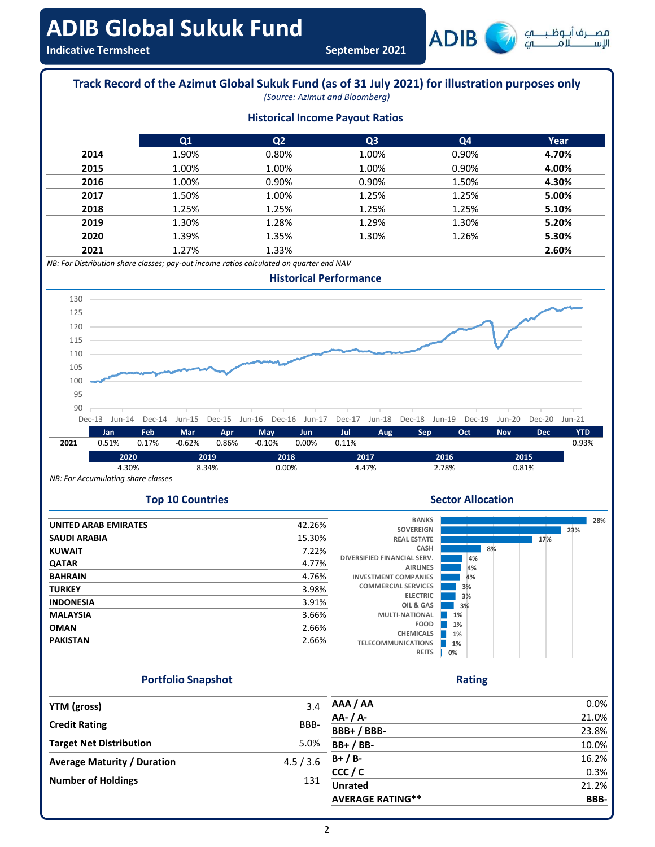



# Top 10 Countries

|                             |        | <b>BANKS</b>                                   |          |    |     |     |  |
|-----------------------------|--------|------------------------------------------------|----------|----|-----|-----|--|
| <b>UNITED ARAB EMIRATES</b> | 42.26% | <b>SOVEREIGN</b>                               |          |    |     | 23% |  |
| <b>SAUDI ARABIA</b>         | 15.30% | <b>REAL ESTATE</b>                             |          |    | 17% |     |  |
| <b>KUWAIT</b>               | 7.22%  | CASH                                           |          | 8% |     |     |  |
| <b>QATAR</b>                | 4.77%  | DIVERSIFIED FINANCIAL SERV.                    | 4%       |    |     |     |  |
| <b>BAHRAIN</b>              | 4.76%  | <b>AIRLINES</b><br><b>INVESTMENT COMPANIES</b> | 4%<br>4% |    |     |     |  |
|                             | 3.98%  | <b>COMMERCIAL SERVICES</b>                     | 3%       |    |     |     |  |
| <b>TURKEY</b>               |        | <b>ELECTRIC</b>                                | 3%       |    |     |     |  |
| <b>INDONESIA</b>            | 3.91%  | OIL & GAS                                      | 3%       |    |     |     |  |
| <b>MALAYSIA</b>             | 3.66%  | <b>MULTI-NATIONAL</b>                          | 1%       |    |     |     |  |
| <b>OMAN</b>                 | 2.66%  | <b>FOOD</b>                                    | 1%       |    |     |     |  |
| <b>PAKISTAN</b>             | 2.66%  | <b>CHEMICALS</b><br><b>TELECOMMUNICATIONS</b>  | 1%<br>1% |    |     |     |  |
|                             |        |                                                |          |    |     |     |  |

# Sector Allocation



Rating

# Portfolio Snapshot

| <b>YTM</b> (gross)                 | 3.4       | AAA / AA                | 0.0%  |
|------------------------------------|-----------|-------------------------|-------|
| <b>Credit Rating</b>               | BBB-      | AA- / A-                | 21.0% |
|                                    |           | BBB+/BBB-               | 23.8% |
| <b>Target Net Distribution</b>     | 5.0%      | $BB+ / BB-$             | 10.0% |
| <b>Average Maturity / Duration</b> | 4.5 / 3.6 | $B+ / B-$               | 16.2% |
| <b>Number of Holdings</b>          | 131       | CCC/C                   | 0.3%  |
|                                    |           | <b>Unrated</b>          | 21.2% |
|                                    |           | <b>AVERAGE RATING**</b> | BBB-  |
|                                    |           |                         |       |